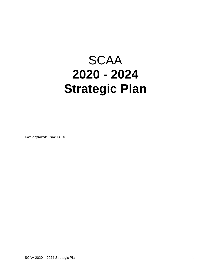# **SCAA 2020 - 2024 Strategic Plan**

Date Approved: Nov 13, 2019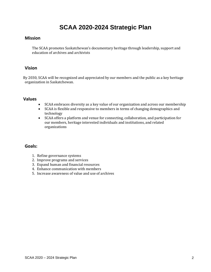## **SCAA 2020-2024 Strategic Plan**

#### **Mission**

The SCAA promotes Saskatchewan's documentary heritage through leadership, support and education of archives and archivists

#### **Vision**

By 2030, SCAA will be recognized and appreciated by our members and the public as a key heritage organization in Saskatchewan.

#### **Values**

- SCAA embraces diversity as a key value of our organization and across our membership
- SCAA is flexible and responsive to members in terms of changing demographics and technology
- SCAA offers a platform and venue for connecting, collaboration, and participation for our members, heritage interested individuals and institutions, and related organizations

### **Goals:**

- 1. Refine governance systems
- 2. Improve programs and services
- 3. Expand human and financial resources
- 4. Enhance communication with members
- 5. Increase awareness of value and use of archives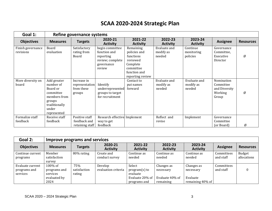## **SCAA 2020-2024 Strategic Plan**

| Goal 1:                        |                                                                                                                      | Refine governance systems                             |                                                                                          |                                                                                                                 |                                     |                                     |                                                              |                  |  |  |  |
|--------------------------------|----------------------------------------------------------------------------------------------------------------------|-------------------------------------------------------|------------------------------------------------------------------------------------------|-----------------------------------------------------------------------------------------------------------------|-------------------------------------|-------------------------------------|--------------------------------------------------------------|------------------|--|--|--|
| <b>Objectives</b>              | <b>Measures</b>                                                                                                      | <b>Targets</b>                                        | 2020-21<br><b>Activity</b>                                                               | 2021-22<br><b>Activity</b>                                                                                      | 2022-23<br><b>Activity</b>          | 2023-24<br><b>Activity</b>          | <b>Assignee</b>                                              | <b>Resources</b> |  |  |  |
| Finish governance<br>revisions | Board<br>evaluation                                                                                                  | Satisfactory<br>rating from<br>Board                  | begin committee<br>function and<br>reporting<br>review; complete<br>governance<br>review | Remaining<br>policies and<br>functions<br>reviewed<br>Complete<br>committee<br>function and<br>reporting review | Evaluate and<br>modify as<br>needed | Continue<br>monitoring<br>policies  | Governance<br>Committee.<br>Executive<br>Director            | Ø                |  |  |  |
| More diversity on<br>board     | Add greater<br>number of<br>Board or<br>committee<br>members from<br>groups<br>traditionally<br>under<br>represented | Increase in<br>representation<br>from these<br>groups | Identify<br>underrepresented<br>groups to target<br>for recruitment                      | Contact to<br>put names<br>forward                                                                              | Evaluate and<br>modify as<br>needed | Evaluate and<br>modify as<br>needed | Nomination<br>Committee<br>and Diversity<br>Working<br>Group | Ø                |  |  |  |
| Formalize staff<br>feedback    | Receive staff<br>feedback                                                                                            | Positive staff<br>feedback and<br>retaining staff     | Research effective Implement<br>way to get<br>feedback                                   |                                                                                                                 | Reflect and<br>revise               | Implement                           | Governance<br>Committee<br>(or Board)                        | Ø                |  |  |  |

| Goal 2:                                      | Improve programs and services                                  |                               |                                |                                                                          |                                                         |                                                            |                         |                       |  |  |
|----------------------------------------------|----------------------------------------------------------------|-------------------------------|--------------------------------|--------------------------------------------------------------------------|---------------------------------------------------------|------------------------------------------------------------|-------------------------|-----------------------|--|--|
| <b>Objectives</b>                            | <b>Measures</b>                                                | <b>Targets</b>                | 2020-21<br><b>Activity</b>     | 2021-22<br><b>Activity</b>                                               | 2022-23<br><b>Activity</b>                              | 2023-24<br><b>Activity</b>                                 | <b>Assignee</b>         | <b>Resources</b>      |  |  |
| Continue current<br>programs                 | Member<br>satisfaction<br>survey                               | 80% rating                    | Create and<br>conduct survey   | Continue as<br>needed                                                    | Continue as<br>needed                                   | Continue as<br>needed                                      | Committees<br>and staff | Budget<br>allocations |  |  |
| Evaluate current<br>programs and<br>services | $100\%$ of<br>programs and<br>services<br>evaluated by<br>2024 | 75%<br>satisfaction<br>rating | Develop<br>evaluation criteria | Select<br>$program(s)$ to<br>evaluate<br>Evaluate 20% of<br>programs and | Changes as<br>necessary<br>Evaluate 40% of<br>remaining | Changes as<br>necessary<br>Evaluate<br>remaining $40\%$ of | Committees<br>and staff |                       |  |  |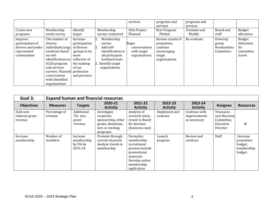|                                                                                 |                                                                                                                                                                                                                     |                                                                                                                          |                                                                                                                                          | services                                                      | programs and<br>services                                                              | programs and<br>services |                                                       |                                                    |
|---------------------------------------------------------------------------------|---------------------------------------------------------------------------------------------------------------------------------------------------------------------------------------------------------------------|--------------------------------------------------------------------------------------------------------------------------|------------------------------------------------------------------------------------------------------------------------------------------|---------------------------------------------------------------|---------------------------------------------------------------------------------------|--------------------------|-------------------------------------------------------|----------------------------------------------------|
| Create new<br>programs                                                          | Membership<br>needs survey                                                                                                                                                                                          | Identify<br>target                                                                                                       | Membership<br>survey conducted                                                                                                           | Pilot Project<br>Planned                                      | New Program<br>Piloted                                                                | Evaluate and<br>Modify   | Board and<br>staff                                    | Budget<br>allocation                               |
| Improve<br>participation of<br>diverse and under-<br>represented<br>communities | The number of<br>diverse<br>individuals/orga<br>nizations based<br>on self-<br>identification on<br>SCAA program<br>and services<br>surveys. Planned profession<br>conversation<br>with identified<br>organizations | Increase<br>participation<br>of diverse<br>groups to be<br>more<br>reflective of<br>the makeup<br>of our<br>and province | Membership<br>survey<br>Add self-<br>2.<br>identification to<br>all participant<br>feedback tools<br>2. Identify target<br>organizations | <b>Begin</b><br>conversations<br>with target<br>organizations | Review results of<br>promotion;<br>continue<br>encouraging<br>target<br>organizaitons | Re-evaluate              | Diversity<br>group<br><b>Nominations</b><br>Committee | Budget<br>Allocation<br>for<br>committee<br>travel |

| Goal 3:                                 | <b>Expand human and financial resources</b> |                                                  |                                                                                                     |                                                                                                                                      |                            |                                               |                                                                  |                                                          |  |  |
|-----------------------------------------|---------------------------------------------|--------------------------------------------------|-----------------------------------------------------------------------------------------------------|--------------------------------------------------------------------------------------------------------------------------------------|----------------------------|-----------------------------------------------|------------------------------------------------------------------|----------------------------------------------------------|--|--|
| <b>Objectives</b>                       | <b>Measures</b>                             | <b>Targets</b>                                   | 2020-21<br><b>Activity</b>                                                                          | 2021-22<br><b>Activity</b>                                                                                                           | 2022-23<br><b>Activity</b> | 2023-24<br><b>Activity</b>                    | <b>Assignee</b>                                                  | <b>Resources</b>                                         |  |  |
| Seek non-<br>lotteries grant<br>revenue | Percentage of<br>revenue                    | Additional<br>$5\%$ non-<br>grant<br>revenue     | Investigate<br>corporate<br>sponsorship, other<br>grants, donations,<br>new or existing<br>programs | Analysis of<br>research and p<br>resent to Board<br>for decision<br>(business case)                                                  | Implement and<br>evaluate  | Continue with<br>improvements<br>as necessary | Treasurer,<br>new Revenue<br>Committee.<br>Executive<br>Director | Ø                                                        |  |  |
| Increase<br>membership                  | Number of<br>members                        | Increase<br>membership<br>by $5\%$ by<br>2023-24 | Promote through<br>current channels<br>Analyze trends in<br>membership                              | Formalize<br>membership<br>recruitment<br>process include<br>promotional<br>materials<br>Develop online<br>membership<br>application | Launch<br>program          | Review and<br>continue                        | Staff                                                            | Increase<br>promotion<br>budget,<br>membership<br>budget |  |  |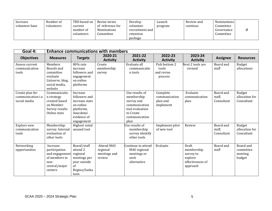| Increase<br>volunteer base | Number of<br>volunteers | TBD based on<br>current<br>number of | Revise terms<br>of reference for<br><b>Nominations</b> | Develop<br>volunteer<br>recruitment and | Launch<br>program | Review and<br>continue | <b>Nominations</b><br>Committee<br>Governance |  |
|----------------------------|-------------------------|--------------------------------------|--------------------------------------------------------|-----------------------------------------|-------------------|------------------------|-----------------------------------------------|--|
|                            |                         | volunteers                           | Committee                                              | retention                               |                   |                        | Committee                                     |  |
|                            |                         |                                      |                                                        | package                                 |                   |                        |                                               |  |

| Goal 4:                                                      |                                                                                                  |                                                                                                                  | <b>Enhance communications with members</b>              |                                                                                                                      |                                                    |                                                                             |                                   |                                             |
|--------------------------------------------------------------|--------------------------------------------------------------------------------------------------|------------------------------------------------------------------------------------------------------------------|---------------------------------------------------------|----------------------------------------------------------------------------------------------------------------------|----------------------------------------------------|-----------------------------------------------------------------------------|-----------------------------------|---------------------------------------------|
| <b>Objectives</b>                                            | <b>Measures</b>                                                                                  | <b>Targets</b>                                                                                                   | 2020-21<br><b>Activity</b>                              | 2021-22<br><b>Activity</b>                                                                                           | 2022-23<br><b>Activity</b>                         | 2023-24<br><b>Activity</b>                                                  | <b>Assignee</b>                   | <b>Resources</b>                            |
| Assess current<br>communication<br>tools                     | Members<br>Boards and<br>committee<br>evaluate<br>Listserve, blog,<br>social media,<br>website   | 80% rate<br>increase<br>followers and<br>engagement<br>on online<br>platforms                                    | Create<br>membership<br>survey                          | Evaluate all<br>communicatio<br>n tools                                                                              | Pick bottom 2<br>tools<br>and revise<br>process    | Next 2 tools are<br>revised                                                 | Board and<br>staff                | <b>Budget</b><br>allocations                |
| Create plan for<br>communication <i>i.e.</i><br>social media | Communicatio<br>n strategy<br>created based<br>on Member<br>Survey results<br>Online stats       | Increase<br>followers and<br>increase stats<br>on online<br>platforms.<br>Anecdotal<br>evidence of<br>engagement |                                                         | Use results of<br>membership<br>survey and<br>communication<br>tool evaluation<br>to Create<br>communication<br>plan | Complete<br>communication<br>plan and<br>implement | Evaluate<br>communication<br>plan                                           | Board and<br>staff,<br>Consultant | Budget<br>allocation for<br>Consultant      |
| Explore new<br>communication<br>tools                        | Membership<br>survey. Internal<br>evaluation of<br>other tools                                   | Highest rated<br>unused tool                                                                                     |                                                         | Jse results of<br>membership<br>survey identify<br>other tools                                                       | Implement pilot<br>of new tool                     | Review                                                                      | Board and<br>staff,<br>Consultant | Budget<br>allocation for<br>Consultant      |
| Networking<br>opportunities                                  | Increase<br>participation<br>and engagement<br>of members in<br>non-<br>central/major<br>centers | Board/staff<br>attend 2<br>regional<br>meetings per<br>year outside<br>of<br>Regina/Saska<br>toon                | <b>Attend MAS</b><br>regional<br>meetings and<br>review | Continue to attend<br>MAS regional<br>meetings or<br>seek<br>alternative                                             | Evaluate                                           | Draft<br>membership<br>survey to<br>explore<br>effectiveness of<br>approach | Board and<br>staff                | Board and<br>committee<br>meeting<br>budget |